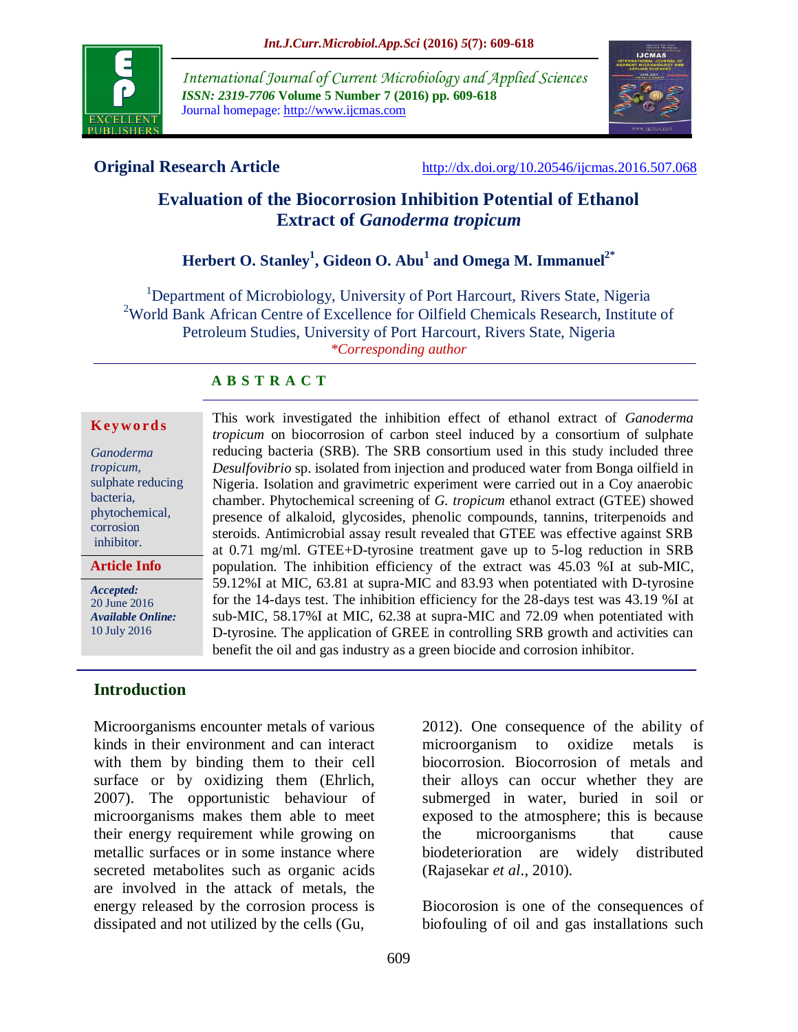

*International Journal of Current Microbiology and Applied Sciences ISSN: 2319-7706* **Volume 5 Number 7 (2016) pp. 609-618** Journal homepage: http://www.ijcmas.com



**Original Research Article** <http://dx.doi.org/10.20546/ijcmas.2016.507.068>

# **Evaluation of the Biocorrosion Inhibition Potential of Ethanol Extract of** *Ganoderma tropicum*

# **Herbert O. Stanley<sup>1</sup> , Gideon O. Abu<sup>1</sup> and Omega M. Immanuel2\***

<sup>1</sup>Department of Microbiology, University of Port Harcourt, Rivers State, Nigeria <sup>2</sup>World Bank African Centre of Excellence for Oilfield Chemicals Research, Institute of Petroleum Studies, University of Port Harcourt, Rivers State, Nigeria *\*Corresponding author*

# **A B S T R A C T**

#### **K ey w o rd s**

*Ganoderma tropicum,*  sulphate reducing bacteria, phytochemical, corrosion inhibitor.

**Article Info**

*Accepted:*  20 June 2016 *Available Online:* 10 July 2016

**Introduction**

Microorganisms encounter metals of various kinds in their environment and can interact with them by binding them to their cell surface or by oxidizing them (Ehrlich, 2007). The opportunistic behaviour of microorganisms makes them able to meet their energy requirement while growing on metallic surfaces or in some instance where secreted metabolites such as organic acids are involved in the attack of metals, the energy released by the corrosion process is dissipated and not utilized by the cells (Gu,

This work investigated the inhibition effect of ethanol extract of *Ganoderma tropicum* on biocorrosion of carbon steel induced by a consortium of sulphate reducing bacteria (SRB). The SRB consortium used in this study included three *Desulfovibrio* sp. isolated from injection and produced water from Bonga oilfield in Nigeria. Isolation and gravimetric experiment were carried out in a Coy anaerobic chamber. Phytochemical screening of *G. tropicum* ethanol extract (GTEE) showed presence of alkaloid, glycosides, phenolic compounds, tannins, triterpenoids and steroids. Antimicrobial assay result revealed that GTEE was effective against SRB at 0.71 mg/ml. GTEE+D-tyrosine treatment gave up to 5-log reduction in SRB population. The inhibition efficiency of the extract was 45.03 %I at sub-MIC, 59.12%I at MIC, 63.81 at supra-MIC and 83.93 when potentiated with D-tyrosine for the 14-days test. The inhibition efficiency for the 28-days test was 43.19 %I at sub-MIC, 58.17%I at MIC, 62.38 at supra-MIC and 72.09 when potentiated with D-tyrosine. The application of GREE in controlling SRB growth and activities can benefit the oil and gas industry as a green biocide and corrosion inhibitor.

> 2012). One consequence of the ability of microorganism to oxidize metals is biocorrosion. Biocorrosion of metals and their alloys can occur whether they are submerged in water, buried in soil or exposed to the atmosphere; this is because the microorganisms that cause biodeterioration are widely distributed (Rajasekar *et al*., 2010).

> Biocorosion is one of the consequences of biofouling of oil and gas installations such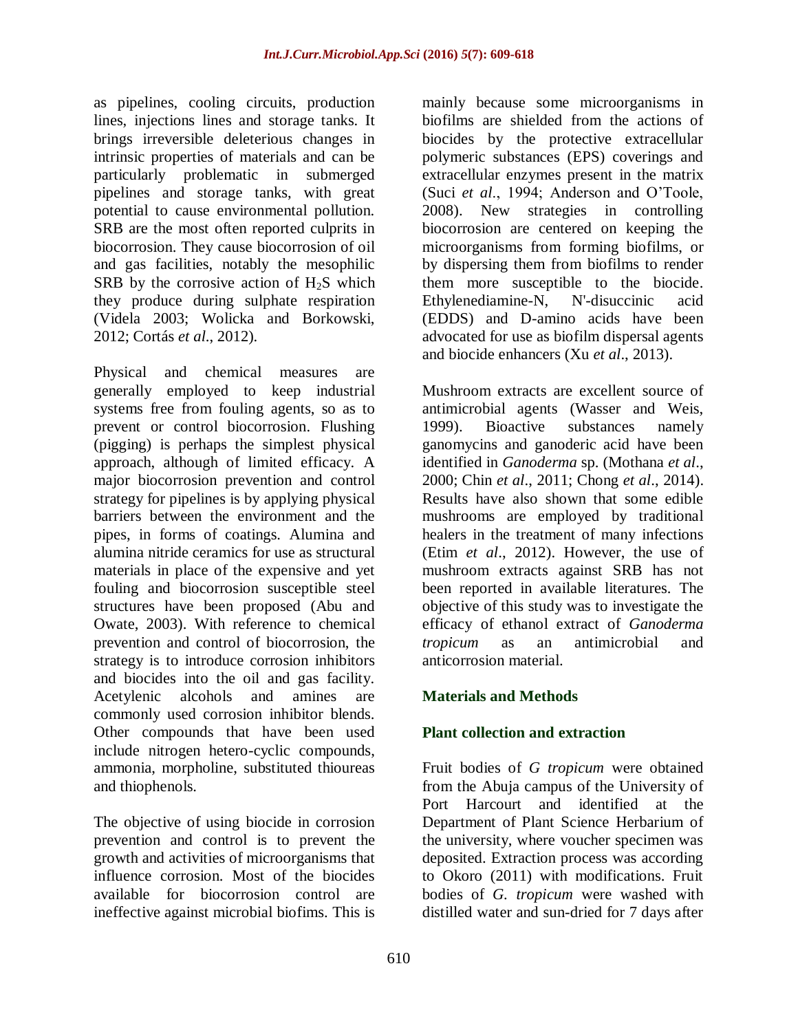as pipelines, cooling circuits, production lines, injections lines and storage tanks. It brings irreversible deleterious changes in intrinsic properties of materials and can be particularly problematic in submerged pipelines and storage tanks, with great potential to cause environmental pollution. SRB are the most often reported culprits in biocorrosion. They cause biocorrosion of oil and gas facilities, notably the mesophilic SRB by the corrosive action of  $H_2S$  which they produce during sulphate respiration (Videla 2003; Wolicka and Borkowski, 2012; Cortás *et al*., 2012).

Physical and chemical measures are generally employed to keep industrial systems free from fouling agents, so as to prevent or control biocorrosion. Flushing (pigging) is perhaps the simplest physical approach, although of limited efficacy. A major biocorrosion prevention and control strategy for pipelines is by applying physical barriers between the environment and the pipes, in forms of coatings. Alumina and alumina nitride ceramics for use as structural materials in place of the expensive and yet fouling and biocorrosion susceptible steel structures have been proposed (Abu and Owate, 2003). With reference to chemical prevention and control of biocorrosion, the strategy is to introduce corrosion inhibitors and biocides into the oil and gas facility. Acetylenic alcohols and amines are commonly used corrosion inhibitor blends. Other compounds that have been used include nitrogen hetero-cyclic compounds, ammonia, morpholine, substituted thioureas and thiophenols.

The objective of using biocide in corrosion prevention and control is to prevent the growth and activities of microorganisms that influence corrosion. Most of the biocides available for biocorrosion control are ineffective against microbial biofims. This is

mainly because some microorganisms in biofilms are shielded from the actions of biocides by the protective extracellular polymeric substances (EPS) coverings and extracellular enzymes present in the matrix (Suci *et al*., 1994; Anderson and O'Toole, 2008). New strategies in controlling biocorrosion are centered on keeping the microorganisms from forming biofilms, or by dispersing them from biofilms to render them more susceptible to the biocide. Ethylenediamine-N, N'-disuccinic acid (EDDS) and D-amino acids have been advocated for use as biofilm dispersal agents and biocide enhancers (Xu *et al*., 2013).

Mushroom extracts are excellent source of antimicrobial agents (Wasser and Weis, 1999). Bioactive substances namely ganomycins and ganoderic acid have been identified in *Ganoderma* sp. (Mothana *et al*., 2000; Chin *et al*., 2011; Chong *et al*., 2014). Results have also shown that some edible mushrooms are employed by traditional healers in the treatment of many infections (Etim *et al*., 2012). However, the use of mushroom extracts against SRB has not been reported in available literatures. The objective of this study was to investigate the efficacy of ethanol extract of *Ganoderma tropicum* as an antimicrobial and anticorrosion material.

# **Materials and Methods**

## **Plant collection and extraction**

Fruit bodies of *G tropicum* were obtained from the Abuja campus of the University of Port Harcourt and identified at the Department of Plant Science Herbarium of the university, where voucher specimen was deposited. Extraction process was according to Okoro (2011) with modifications. Fruit bodies of *G. tropicum* were washed with distilled water and sun-dried for 7 days after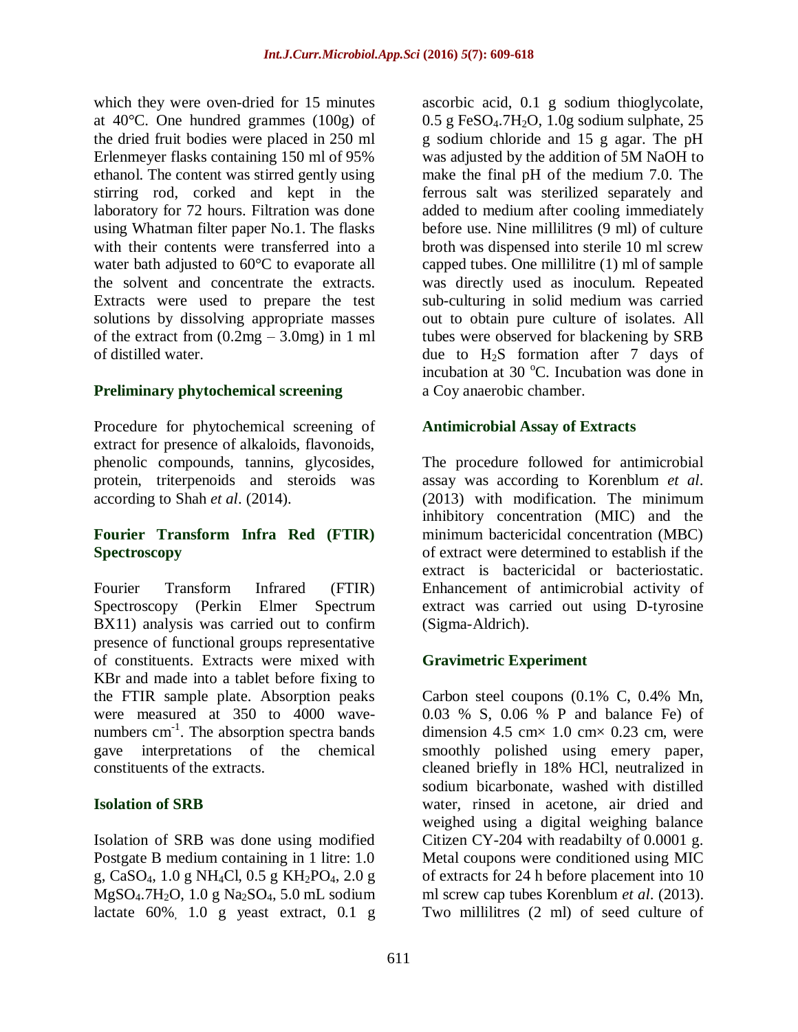which they were oven-dried for 15 minutes at 40°C. One hundred grammes (100g) of the dried fruit bodies were placed in 250 ml Erlenmeyer flasks containing 150 ml of 95% ethanol. The content was stirred gently using stirring rod, corked and kept in the laboratory for 72 hours. Filtration was done using Whatman filter paper No.1. The flasks with their contents were transferred into a water bath adjusted to 60°C to evaporate all the solvent and concentrate the extracts. Extracts were used to prepare the test solutions by dissolving appropriate masses of the extract from  $(0.2mg - 3.0mg)$  in 1 ml of distilled water.

# **Preliminary phytochemical screening**

Procedure for phytochemical screening of extract for presence of alkaloids, flavonoids, phenolic compounds, tannins, glycosides, protein, triterpenoids and steroids was according to Shah *et al*. (2014).

## **Fourier Transform Infra Red (FTIR) Spectroscopy**

Fourier Transform Infrared (FTIR) Spectroscopy (Perkin Elmer Spectrum BX11) analysis was carried out to confirm presence of functional groups representative of constituents. Extracts were mixed with KBr and made into a tablet before fixing to the FTIR sample plate. Absorption peaks were measured at 350 to 4000 wavenumbers  $cm^{-1}$ . The absorption spectra bands gave interpretations of the chemical constituents of the extracts.

# **Isolation of SRB**

Isolation of SRB was done using modified Postgate B medium containing in 1 litre: 1.0 g, CaSO<sub>4</sub>, 1.0 g NH<sub>4</sub>Cl, 0.5 g KH<sub>2</sub>PO<sub>4</sub>, 2.0 g MgSO4.7H2O, 1.0 g Na2SO4, 5.0 mL sodium lactate 60%, 1.0 g yeast extract, 0.1 g

ascorbic acid, 0.1 g sodium thioglycolate,  $0.5$  g FeSO<sub>4</sub>.7H<sub>2</sub>O, 1.0g sodium sulphate, 25 g sodium chloride and 15 g agar. The pH was adjusted by the addition of 5M NaOH to make the final pH of the medium 7.0. The ferrous salt was sterilized separately and added to medium after cooling immediately before use. Nine millilitres (9 ml) of culture broth was dispensed into sterile 10 ml screw capped tubes. One millilitre (1) ml of sample was directly used as inoculum. Repeated sub-culturing in solid medium was carried out to obtain pure culture of isolates. All tubes were observed for blackening by SRB due to  $H_2S$  formation after 7 days of incubation at 30  $^{\circ}$ C. Incubation was done in a Coy anaerobic chamber.

## **Antimicrobial Assay of Extracts**

The procedure followed for antimicrobial assay was according to Korenblum *et al*. (2013) with modification. The minimum inhibitory concentration (MIC) and the minimum bactericidal concentration (MBC) of extract were determined to establish if the extract is bactericidal or bacteriostatic. Enhancement of antimicrobial activity of extract was carried out using D-tyrosine (Sigma-Aldrich).

# **Gravimetric Experiment**

Carbon steel coupons (0.1% C, 0.4% Mn, 0.03 % S, 0.06 % P and balance Fe) of dimension 4.5 cm $\times$  1.0 cm $\times$  0.23 cm, were smoothly polished using emery paper, cleaned briefly in 18% HCl, neutralized in sodium bicarbonate, washed with distilled water, rinsed in acetone, air dried and weighed using a digital weighing balance Citizen CY-204 with readabilty of 0.0001 g. Metal coupons were conditioned using MIC of extracts for 24 h before placement into 10 ml screw cap tubes Korenblum *et al*. (2013). Two millilitres (2 ml) of seed culture of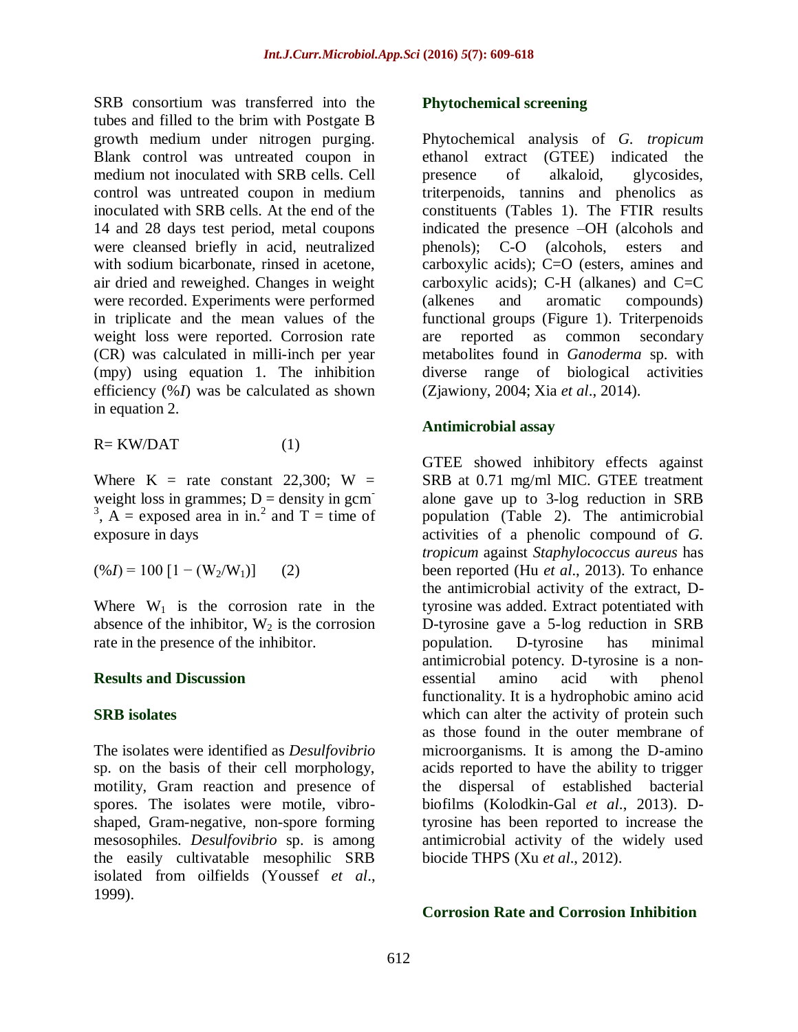SRB consortium was transferred into the tubes and filled to the brim with Postgate B growth medium under nitrogen purging. Blank control was untreated coupon in medium not inoculated with SRB cells. Cell control was untreated coupon in medium inoculated with SRB cells. At the end of the 14 and 28 days test period, metal coupons were cleansed briefly in acid, neutralized with sodium bicarbonate, rinsed in acetone, air dried and reweighed. Changes in weight were recorded. Experiments were performed in triplicate and the mean values of the weight loss were reported. Corrosion rate (CR) was calculated in milli-inch per year (mpy) using equation 1. The inhibition efficiency (%*I*) was be calculated as shown in equation 2.

$$
R = KW/DAT \tag{1}
$$

Where  $K =$  rate constant 22,300;  $W =$ weight loss in grammes;  $D =$  density in gcm <sup>3</sup>, A = exposed area in in.<sup>2</sup> and T = time of exposure in days

$$
(\%I) = 100 [1 - (\text{W}_2/\text{W}_1)] \qquad (2)
$$

Where  $W_1$  is the corrosion rate in the absence of the inhibitor,  $W_2$  is the corrosion rate in the presence of the inhibitor.

#### **Results and Discussion**

#### **SRB isolates**

The isolates were identified as *Desulfovibrio* sp. on the basis of their cell morphology, motility, Gram reaction and presence of spores. The isolates were motile, vibroshaped, Gram-negative, non-spore forming mesosophiles. *Desulfovibrio* sp. is among the easily cultivatable mesophilic SRB isolated from oilfields (Youssef *et al*., 1999).

### **Phytochemical screening**

Phytochemical analysis of *G. tropicum* ethanol extract (GTEE) indicated the presence of alkaloid, glycosides, triterpenoids, tannins and phenolics as constituents (Tables 1). The FTIR results indicated the presence –OH (alcohols and phenols); C-O (alcohols, esters and carboxylic acids); C=O (esters, amines and carboxylic acids);  $C-H$  (alkanes) and  $C=C$ (alkenes and aromatic compounds) functional groups (Figure 1). Triterpenoids are reported as common secondary metabolites found in *Ganoderma* sp. with diverse range of biological activities (Zjawiony, 2004; Xia *et al*., 2014).

### **Antimicrobial assay**

GTEE showed inhibitory effects against SRB at 0.71 mg/ml MIC. GTEE treatment alone gave up to 3-log reduction in SRB population (Table 2). The antimicrobial activities of a phenolic compound of *G. tropicum* against *Staphylococcus aureus* has been reported (Hu *et al*., 2013). To enhance the antimicrobial activity of the extract, Dtyrosine was added. Extract potentiated with D-tyrosine gave a 5-log reduction in SRB population. D-tyrosine has minimal antimicrobial potency. D-tyrosine is a nonessential amino acid with phenol functionality. It is a hydrophobic amino acid which can alter the activity of protein such as those found in the outer membrane of microorganisms. It is among the D-amino acids reported to have the ability to trigger the dispersal of established bacterial biofilms (Kolodkin-Gal *et al*., 2013). Dtyrosine has been reported to increase the antimicrobial activity of the widely used biocide THPS (Xu *et al*., 2012).

#### **Corrosion Rate and Corrosion Inhibition**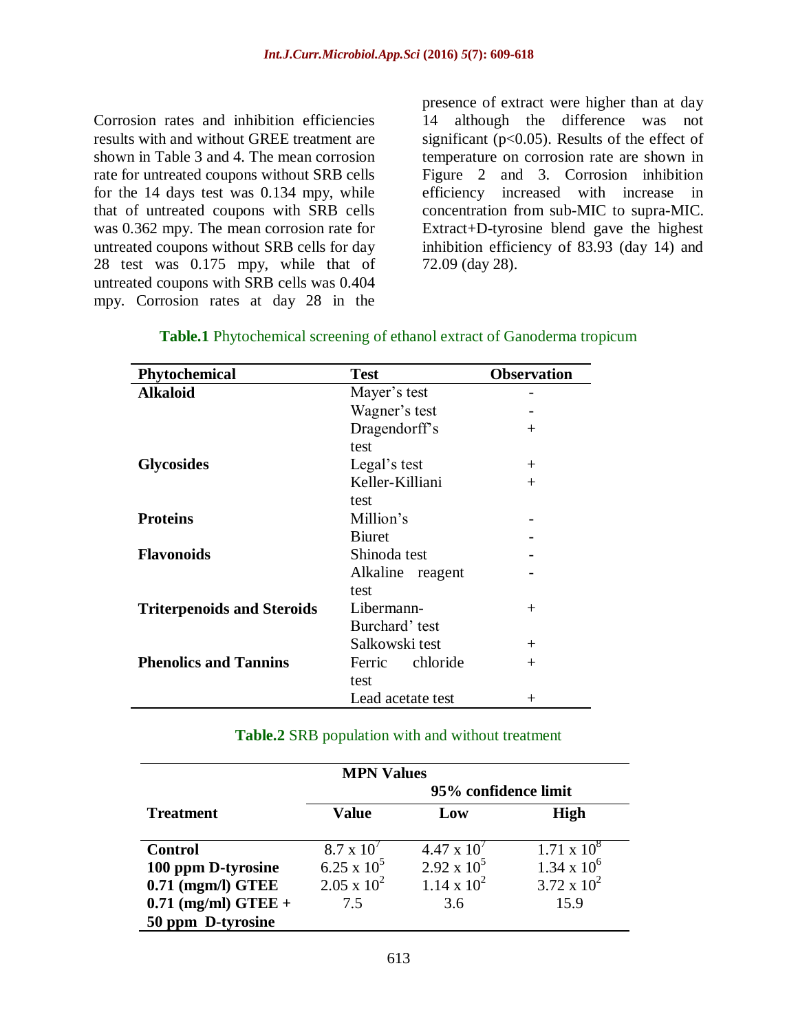Corrosion rates and inhibition efficiencies results with and without GREE treatment are shown in Table 3 and 4. The mean corrosion rate for untreated coupons without SRB cells for the 14 days test was 0.134 mpy, while that of untreated coupons with SRB cells was 0.362 mpy. The mean corrosion rate for untreated coupons without SRB cells for day 28 test was 0.175 mpy, while that of untreated coupons with SRB cells was 0.404 mpy. Corrosion rates at day 28 in the

presence of extract were higher than at day 14 although the difference was not significant ( $p<0.05$ ). Results of the effect of temperature on corrosion rate are shown in Figure 2 and 3. Corrosion inhibition efficiency increased with increase in concentration from sub-MIC to supra-MIC. Extract+D-tyrosine blend gave the highest inhibition efficiency of 83.93 (day 14) and 72.09 (day 28).

| Phytochemical                     | <b>Test</b>         | <b>Observation</b> |
|-----------------------------------|---------------------|--------------------|
| <b>Alkaloid</b>                   | Mayer's test        |                    |
|                                   | Wagner's test       |                    |
|                                   | Dragendorff's       | $^{+}$             |
|                                   | test                |                    |
| <b>Glycosides</b>                 | Legal's test        | $^{+}$             |
|                                   | Keller-Killiani     | $^{+}$             |
|                                   | test                |                    |
| <b>Proteins</b>                   | Million's           |                    |
|                                   | <b>B</b> iuret      |                    |
| <b>Flavonoids</b>                 | Shinoda test        |                    |
|                                   | Alkaline<br>reagent |                    |
|                                   | test                |                    |
| <b>Triterpenoids and Steroids</b> | Libermann-          | $^{+}$             |
|                                   | Burchard' test      |                    |
|                                   | Salkowski test      | $^{+}$             |
| <b>Phenolics and Tannins</b>      | chloride<br>Ferric  | $^{+}$             |
|                                   | test                |                    |
|                                   | Lead acetate test   | $^+$               |

### **Table.1** Phytochemical screening of ethanol extract of Ganoderma tropicum

#### **Table.2** SRB population with and without treatment

| <b>MPN Values</b>     |                      |                      |                      |  |
|-----------------------|----------------------|----------------------|----------------------|--|
|                       | 95% confidence limit |                      |                      |  |
| <b>Treatment</b>      | <b>Value</b>         | Low                  | <b>High</b>          |  |
|                       |                      |                      |                      |  |
| <b>Control</b>        | $8.7 \times 10^{7}$  | $4.47 \times 10^{7}$ | $1.71 \times 10^{8}$ |  |
| 100 ppm D-tyrosine    | $6.25 \times 10^5$   | $2.92 \times 10^5$   | $1.34 \times 10^6$   |  |
| $0.71$ (mgm/l) GTEE   | $2.05 \times 10^{2}$ | $1.14 \times 10^{2}$ | $3.72 \times 10^{2}$ |  |
| $0.71$ (mg/ml) GTEE + | 7.5                  | 3.6                  | 15.9                 |  |
| 50 ppm D-tyrosine     |                      |                      |                      |  |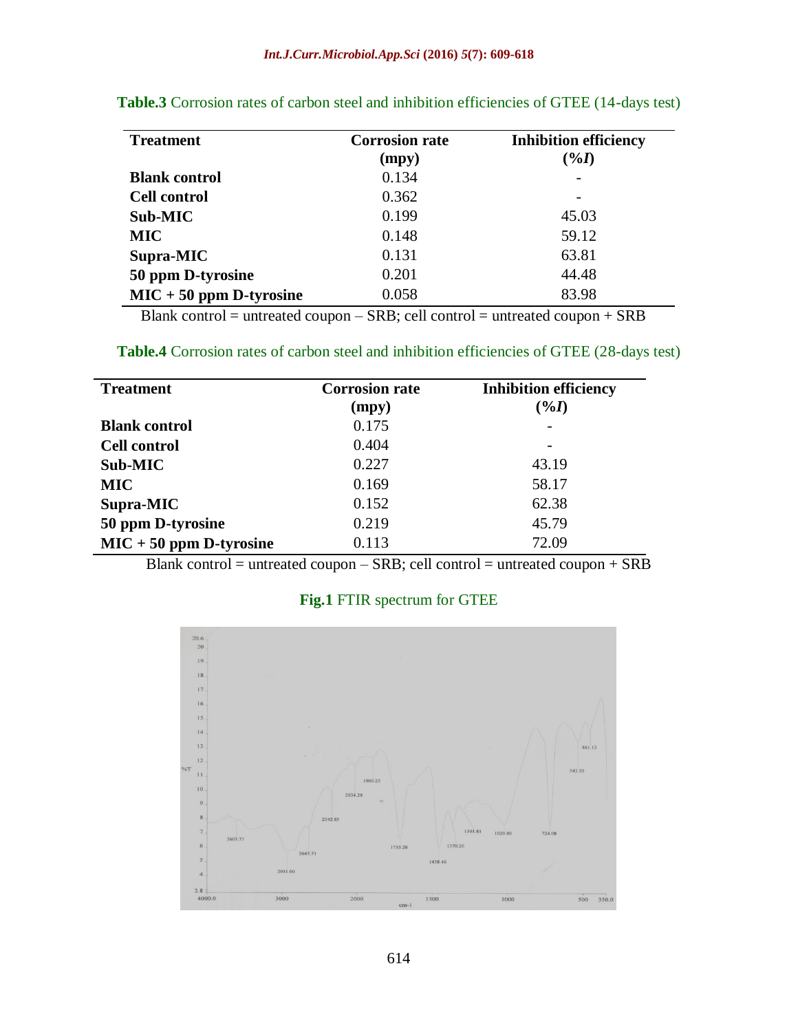| <b>Treatment</b>          | <b>Corrosion rate</b><br>(mpy) | <b>Inhibition efficiency</b><br>$(\%I)$ |
|---------------------------|--------------------------------|-----------------------------------------|
| <b>Blank control</b>      | 0.134                          |                                         |
| <b>Cell control</b>       | 0.362                          |                                         |
| Sub-MIC                   | 0.199                          | 45.03                                   |
| <b>MIC</b>                | 0.148                          | 59.12                                   |
| Supra-MIC                 | 0.131                          | 63.81                                   |
| 50 ppm D-tyrosine         | 0.201                          | 44.48                                   |
| $MIC + 50$ ppm D-tyrosine | 0.058                          | 83.98                                   |

**Table.3** Corrosion rates of carbon steel and inhibition efficiencies of GTEE (14-days test)

Blank control = untreated coupon – SRB; cell control = untreated coupon + SRB

**Table.4** Corrosion rates of carbon steel and inhibition efficiencies of GTEE (28-days test)

| <b>Treatment</b>          | <b>Corrosion rate</b><br>(mpy) | <b>Inhibition efficiency</b><br>$(\%I)$ |
|---------------------------|--------------------------------|-----------------------------------------|
| <b>Blank control</b>      | 0.175                          |                                         |
| <b>Cell control</b>       | 0.404                          |                                         |
| Sub-MIC                   | 0.227                          | 43.19                                   |
| <b>MIC</b>                | 0.169                          | 58.17                                   |
| Supra-MIC                 | 0.152                          | 62.38                                   |
| 50 ppm D-tyrosine         | 0.219                          | 45.79                                   |
| $MIC + 50$ ppm D-tyrosine | 0.113                          | 72.09                                   |

Blank control = untreated coupon – SRB; cell control = untreated coupon + SRB

## **Fig.1** FTIR spectrum for GTEE

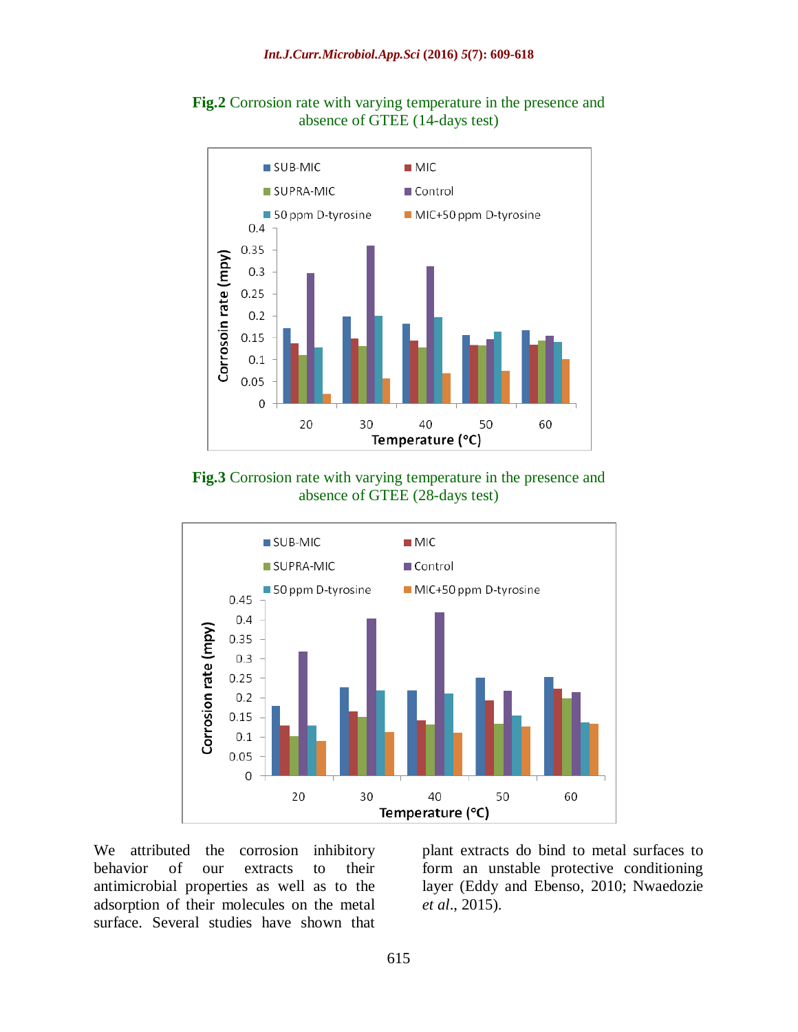



**Fig.3** Corrosion rate with varying temperature in the presence and absence of GTEE (28-days test)



We attributed the corrosion inhibitory behavior of our extracts to their antimicrobial properties as well as to the adsorption of their molecules on the metal surface. Several studies have shown that

plant extracts do bind to metal surfaces to form an unstable protective conditioning layer (Eddy and Ebenso, 2010; Nwaedozie *et al*., 2015).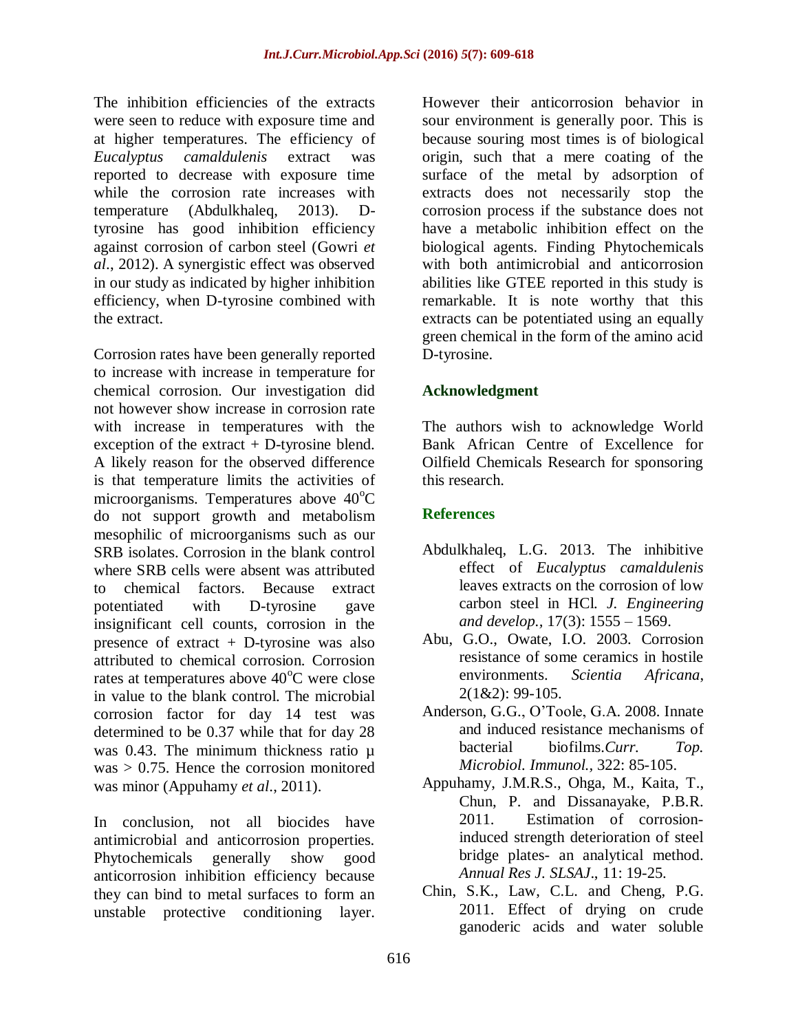The inhibition efficiencies of the extracts were seen to reduce with exposure time and at higher temperatures. The efficiency of *Eucalyptus camaldulenis* extract was reported to decrease with exposure time while the corrosion rate increases with temperature (Abdulkhaleq, 2013). Dtyrosine has good inhibition efficiency against corrosion of carbon steel (Gowri *et al*., 2012). A synergistic effect was observed in our study as indicated by higher inhibition efficiency, when D-tyrosine combined with the extract.

Corrosion rates have been generally reported to increase with increase in temperature for chemical corrosion. Our investigation did not however show increase in corrosion rate with increase in temperatures with the exception of the extract + D-tyrosine blend. A likely reason for the observed difference is that temperature limits the activities of microorganisms. Temperatures above  $40^{\circ}$ C do not support growth and metabolism mesophilic of microorganisms such as our SRB isolates. Corrosion in the blank control where SRB cells were absent was attributed to chemical factors. Because extract potentiated with D-tyrosine gave insignificant cell counts, corrosion in the presence of extract + D-tyrosine was also attributed to chemical corrosion. Corrosion rates at temperatures above  $40^{\circ}$ C were close in value to the blank control. The microbial corrosion factor for day 14 test was determined to be 0.37 while that for day 28 was 0.43. The minimum thickness ratio u  $was > 0.75$ . Hence the corrosion monitored was minor (Appuhamy *et al*., 2011).

In conclusion, not all biocides have antimicrobial and anticorrosion properties. Phytochemicals generally show good anticorrosion inhibition efficiency because they can bind to metal surfaces to form an unstable protective conditioning layer.

However their anticorrosion behavior in sour environment is generally poor. This is because souring most times is of biological origin, such that a mere coating of the surface of the metal by adsorption of extracts does not necessarily stop the corrosion process if the substance does not have a metabolic inhibition effect on the biological agents. Finding Phytochemicals with both antimicrobial and anticorrosion abilities like GTEE reported in this study is remarkable. It is note worthy that this extracts can be potentiated using an equally green chemical in the form of the amino acid D-tyrosine.

## **Acknowledgment**

The authors wish to acknowledge World Bank African Centre of Excellence for Oilfield Chemicals Research for sponsoring this research.

## **References**

- Abdulkhaleq, L.G. 2013. The inhibitive effect of *Eucalyptus camaldulenis* leaves extracts on the corrosion of low carbon steel in HCl. *J. Engineering and develop.,* 17(3): 1555 – 1569.
- Abu, G.O., Owate, I.O. 2003. Corrosion resistance of some ceramics in hostile environments. *Scientia Africana*, 2(1&2): 99-105.
- Anderson, G.G., O'Toole, G.A. 2008. Innate and induced resistance mechanisms of bacterial biofilms.*Curr. Top. Microbiol. Immunol.,* 322: 85-105.
- Appuhamy, J.M.R.S., Ohga, M., Kaita, T., Chun, P. and Dissanayake, P.B.R. 2011. Estimation of corrosioninduced strength deterioration of steel bridge plates- an analytical method. *Annual Res J. SLSAJ*., 11: 19-25.
- Chin, S.K., Law, C.L. and Cheng, P.G. 2011. Effect of drying on crude ganoderic acids and water soluble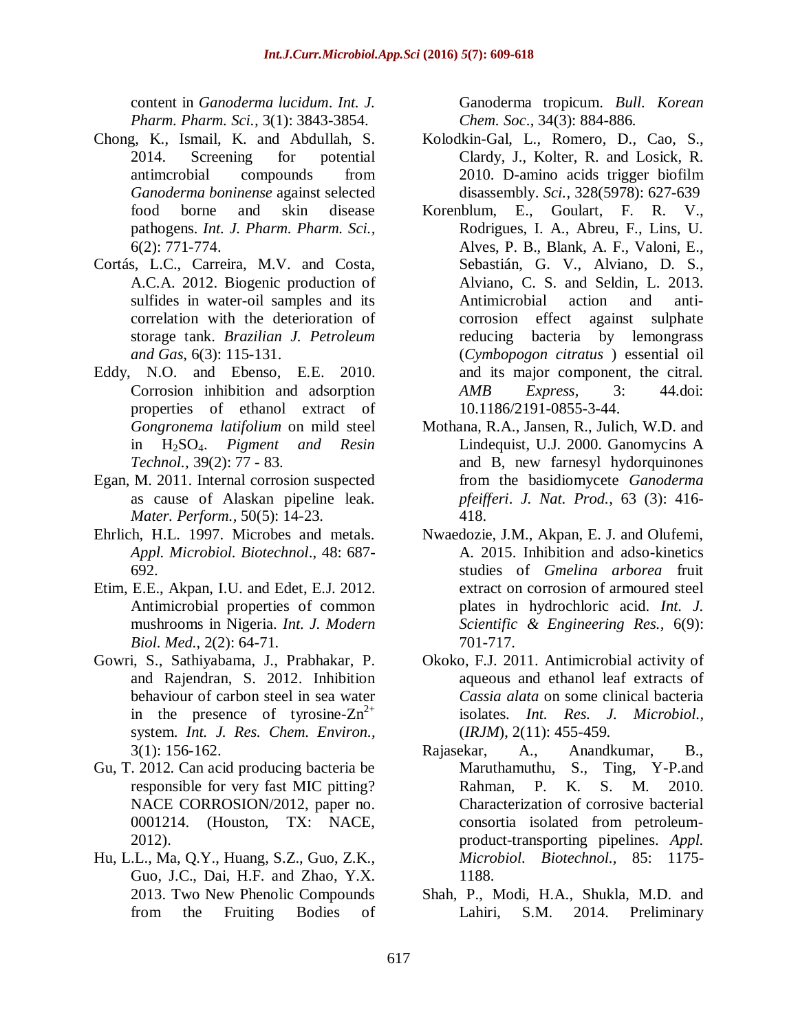content in *Ganoderma lucidum*. *Int. J. Pharm. Pharm. Sci.,* 3(1): 3843-3854.

- Chong, K., Ismail, K. and Abdullah, S. 2014. Screening for potential antimcrobial compounds from *Ganoderma boninense* against selected food borne and skin disease pathogens. *Int. J. Pharm. Pharm. Sci.,*  6(2): 771-774.
- Cortás, L.C., Carreira, M.V. and Costa, A.C.A. 2012. Biogenic production of sulfides in water-oil samples and its correlation with the deterioration of storage tank. *Brazilian J. Petroleum and Gas*, 6(3): 115-131.
- Eddy, N.O. and Ebenso, E.E. 2010. Corrosion inhibition and adsorption properties of ethanol extract of *Gongronema latifolium* on mild steel in H2SO4. *Pigment and Resin Technol.,* 39(2): 77 - 83.
- Egan, M. 2011. Internal corrosion suspected as cause of Alaskan pipeline leak. *Mater. Perform.,* 50(5): 14-23.
- Ehrlich, H.L. 1997. Microbes and metals. *Appl. Microbiol. Biotechnol*., 48: 687- 692.
- Etim, E.E., Akpan, I.U. and Edet, E.J. 2012. Antimicrobial properties of common mushrooms in Nigeria. *Int. J. Modern Biol. Med.*, 2(2): 64-71.
- Gowri, S., Sathiyabama, J., Prabhakar, P. and Rajendran, S. 2012. Inhibition behaviour of carbon steel in sea water in the presence of tyrosine- $Zn^{2+}$ system. *Int. J. Res. Chem. Environ.,*  3(1): 156-162.
- Gu, T. 2012. Can acid producing bacteria be responsible for very fast MIC pitting? NACE CORROSION/2012, paper no. 0001214. (Houston, TX: NACE, 2012).
- Hu, L.L., Ma, Q.Y., Huang, S.Z., Guo, Z.K., Guo, J.C., Dai, H.F. and Zhao, Y.X. 2013. Two New Phenolic Compounds from the Fruiting Bodies of

Ganoderma tropicum. *Bull. Korean Chem. Soc*., 34(3): 884-886.

- Kolodkin-Gal, L., Romero, D., Cao, S., Clardy, J., Kolter, R. and Losick, R. 2010. D-amino acids trigger biofilm disassembly. *Sci.,* 328(5978): 627-639
- Korenblum, E., Goulart, F. R. V., Rodrigues, I. A., Abreu, F., Lins, U. Alves, P. B., Blank, A. F., Valoni, E., Sebastián, G. V., Alviano, D. S., Alviano, C. S. and Seldin, L. 2013. Antimicrobial action and anticorrosion effect against sulphate reducing bacteria by lemongrass (*Cymbopogon citratus* ) essential oil and its major component, the citral. *AMB Express,* 3: 44.doi: 10.1186/2191-0855-3-44.
- Mothana, R.A., Jansen, R., Julich, W.D. and Lindequist, U.J. 2000. Ganomycins A and B, new farnesyl hydorquinones from the basidiomycete *Ganoderma pfeifferi*. *J. Nat. Prod.,* 63 (3): 416- 418.
- Nwaedozie, J.M., Akpan, E. J. and Olufemi, A. 2015. Inhibition and adso-kinetics studies of *Gmelina arborea* fruit extract on corrosion of armoured steel plates in hydrochloric acid. *Int. J. Scientific & Engineering Res.,* 6(9): 701-717.
- Okoko, F.J. 2011. Antimicrobial activity of aqueous and ethanol leaf extracts of *Cassia alata* on some clinical bacteria isolates. *Int. Res. J. Microbiol.,*  (*IRJM*), 2(11): 455-459.
- Rajasekar, A., Anandkumar, B., Maruthamuthu, S., Ting, Y-P.and Rahman, P. K. S. M. 2010. Characterization of corrosive bacterial consortia isolated from petroleumproduct-transporting pipelines. *Appl. Microbiol. Biotechnol.,* 85: 1175- 1188.
- Shah, P., Modi, H.A., Shukla, M.D. and Lahiri, S.M. 2014. Preliminary